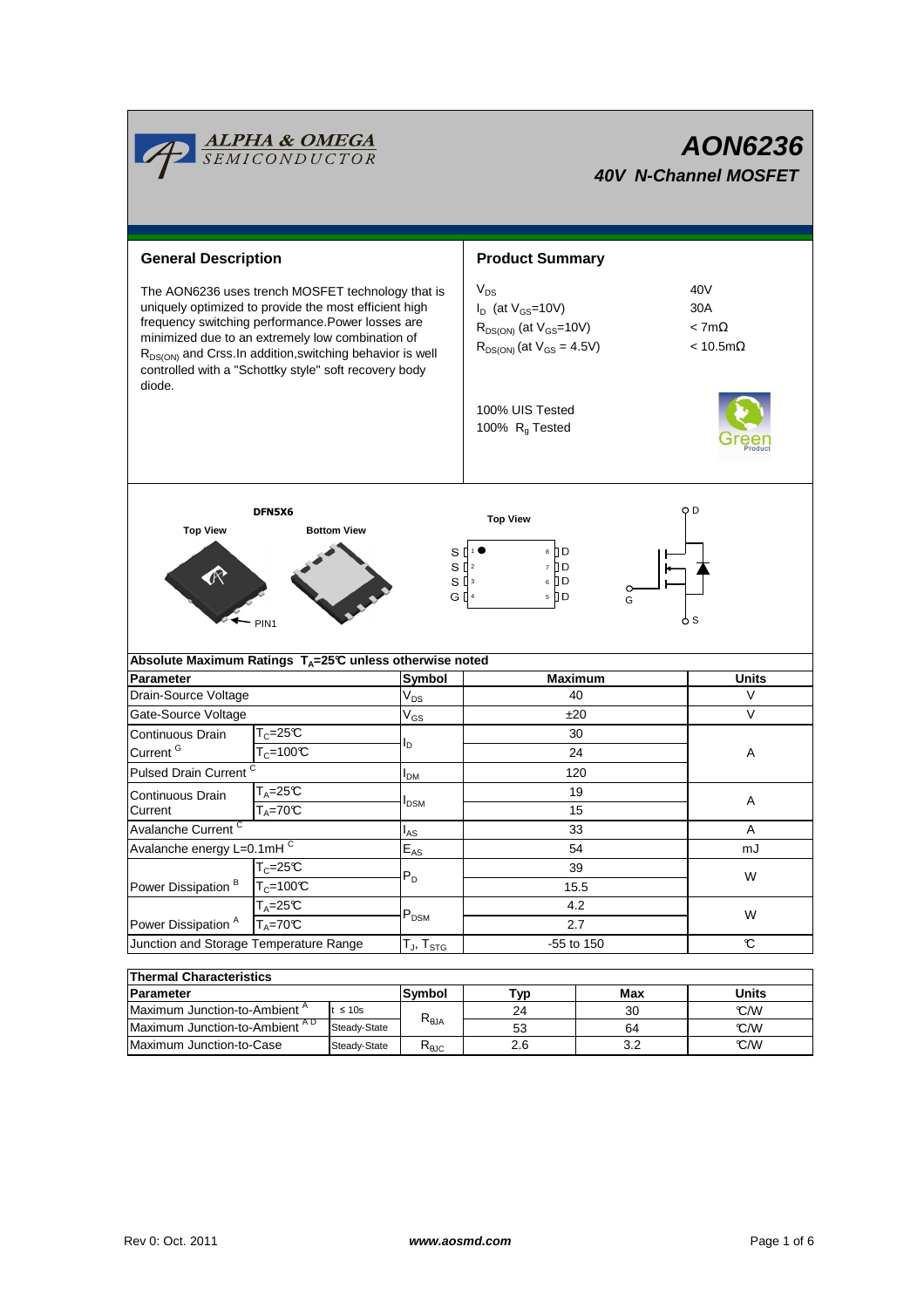

| THEITHAI UNATAGUEI ISUGS |               |                |     |       |  |  |  |  |  |  |
|--------------------------|---------------|----------------|-----|-------|--|--|--|--|--|--|
|                          | <b>Svmbol</b> | Tvɒ            | Max | Units |  |  |  |  |  |  |
| $t \leq 10s$             |               | 24             | 30  | C/M   |  |  |  |  |  |  |
| Steady-State             |               | 53             | 64  | C/W   |  |  |  |  |  |  |
| Steady-State             | $R_{0,IC}$    | 2.6            |     | C/M   |  |  |  |  |  |  |
|                          |               | $R_{\theta$ JA |     |       |  |  |  |  |  |  |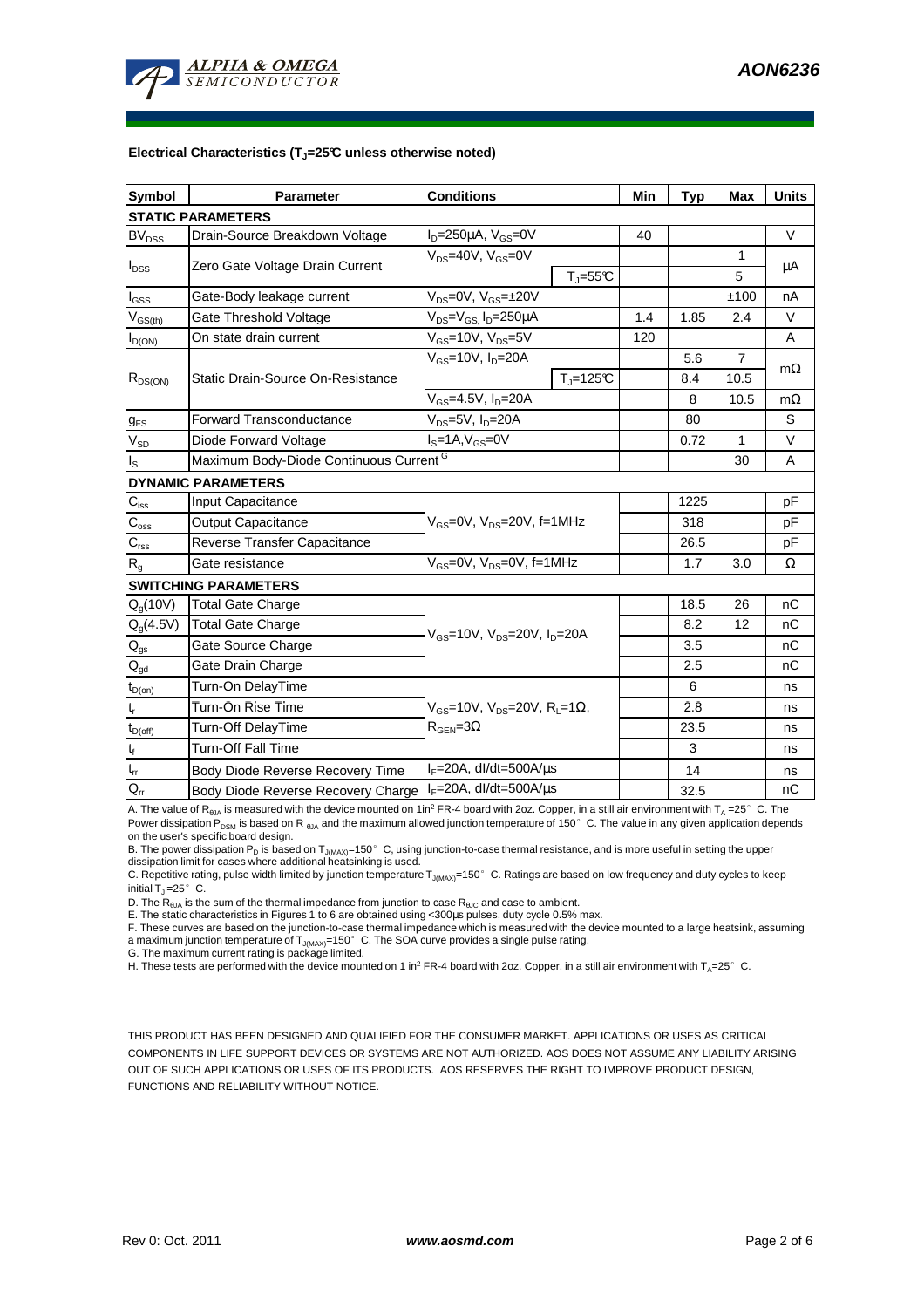

#### **Electrical Characteristics (TJ=25°C unless otherwise noted)**

| Symbol                                 | <b>Parameter</b>                                   | <b>Conditions</b>                                                                      | Min         | <b>Typ</b> | Max  | <b>Units</b>   |           |  |  |  |
|----------------------------------------|----------------------------------------------------|----------------------------------------------------------------------------------------|-------------|------------|------|----------------|-----------|--|--|--|
| <b>STATIC PARAMETERS</b>               |                                                    |                                                                                        |             |            |      |                |           |  |  |  |
| <b>BV</b> <sub>DSS</sub>               | Drain-Source Breakdown Voltage                     | $I_D = 250 \mu A$ , $V_{GS} = 0V$                                                      |             | 40         |      |                | $\vee$    |  |  |  |
| $I_{DSS}$                              | Zero Gate Voltage Drain Current                    | $V_{DS}$ =40V, $V_{GS}$ =0V                                                            |             |            |      | 1              |           |  |  |  |
|                                        |                                                    |                                                                                        | $T_J = 55C$ |            |      | 5              | μA        |  |  |  |
| l <sub>GSS</sub>                       | Gate-Body leakage current                          | $V_{DS}$ =0V, $V_{GS}$ = $\pm$ 20V                                                     |             |            |      | ±100           | nA        |  |  |  |
| $V_{GS(th)}$                           | Gate Threshold Voltage                             | $V_{DS} = V_{GS}$ , $I_D = 250 \mu A$                                                  |             | 1.4        | 1.85 | 2.4            | $\vee$    |  |  |  |
| $I_{D(ON)}$                            | On state drain current                             | $V_{GS}$ =10V, $V_{DS}$ =5V                                                            |             | 120        |      |                | A         |  |  |  |
| $R_{DS(ON)}$                           | Static Drain-Source On-Resistance                  | $V_{GS}$ =10V, I <sub>D</sub> =20A                                                     |             |            | 5.6  | $\overline{7}$ |           |  |  |  |
|                                        |                                                    |                                                                                        | $Tj=125C$   |            | 8.4  | 10.5           | $m\Omega$ |  |  |  |
|                                        |                                                    | $V_{GS}$ =4.5V, $I_D$ =20A                                                             |             |            | 8    | 10.5           | $m\Omega$ |  |  |  |
| $g_{FS}$                               | <b>Forward Transconductance</b>                    | $V_{DS}$ =5V, $I_D$ =20A                                                               |             |            | 80   |                | S         |  |  |  |
| $V_{SD}$                               | Diode Forward Voltage                              | $I_S = 1A$ , $V_{GS} = 0V$                                                             |             | 0.72       | 1    | V              |           |  |  |  |
| $I_{\tt S}$                            | Maximum Body-Diode Continuous Current <sup>G</sup> |                                                                                        |             |            | 30   | A              |           |  |  |  |
|                                        | <b>DYNAMIC PARAMETERS</b>                          |                                                                                        |             |            |      |                |           |  |  |  |
| $C_{iss}$                              | Input Capacitance                                  | $V_{GS}$ =0V, $V_{DS}$ =20V, f=1MHz                                                    |             |            | 1225 |                | pF        |  |  |  |
| $C_{\rm oss}$                          | <b>Output Capacitance</b>                          |                                                                                        |             |            | 318  |                | pF        |  |  |  |
| $C_{\rm rss}$                          | Reverse Transfer Capacitance                       |                                                                                        |             |            | 26.5 |                | pF        |  |  |  |
| $R_{\alpha}$                           | Gate resistance                                    | $V_{GS}$ =0V, $V_{DS}$ =0V, f=1MHz                                                     |             |            | 1.7  | 3.0            | Ω         |  |  |  |
|                                        | <b>SWITCHING PARAMETERS</b>                        |                                                                                        |             |            |      |                |           |  |  |  |
| $Q_g(10V)$                             | <b>Total Gate Charge</b>                           | $V_{\rm GS}$ =10V, $V_{\rm DS}$ =20V, I <sub>D</sub> =20A                              |             |            | 18.5 | 26             | nC        |  |  |  |
| $Q_q(4.5V)$                            | <b>Total Gate Charge</b>                           |                                                                                        |             |            | 8.2  | 12             | nC        |  |  |  |
| $\mathsf{Q}_{\text{gs}}$               | Gate Source Charge                                 |                                                                                        |             |            | 3.5  |                | nС        |  |  |  |
| $\mathsf{Q}_{\underline{\mathsf{gd}}}$ | Gate Drain Charge                                  |                                                                                        |             |            | 2.5  |                | nC        |  |  |  |
| $t_{D(on)}$                            | Turn-On DelayTime                                  | $V_{GS}$ =10V, V <sub>DS</sub> =20V, R <sub>L</sub> =1Ω,<br>$R_{\text{GEN}} = 3\Omega$ |             |            | 6    |                | ns        |  |  |  |
| $t_r$                                  | Turn-On Rise Time                                  |                                                                                        |             |            | 2.8  |                | ns        |  |  |  |
| $t_{D(off)}$                           | <b>Turn-Off DelayTime</b>                          |                                                                                        |             |            | 23.5 |                | ns        |  |  |  |
| $t_f$                                  | <b>Turn-Off Fall Time</b>                          |                                                                                        |             |            | 3    |                | ns        |  |  |  |
| $t_{rr}$                               | Body Diode Reverse Recovery Time                   | $I_F = 20A$ , dl/dt=500A/ $\mu$ s                                                      |             |            | 14   |                | ns        |  |  |  |
| $Q_{rr}$                               | Body Diode Reverse Recovery Charge                 | $I_F = 20A$ , dl/dt=500A/ $\mu$ s                                                      |             |            | 32.5 |                | nC        |  |  |  |

A. The value of R<sub>θJA</sub> is measured with the device mounted on 1in<sup>2</sup> FR-4 board with 2oz. Copper, in a still air environment with T<sub>A</sub> =25°C. The Power dissipation P<sub>DSM</sub> is based on R <sub>θJA</sub> and the maximum allowed junction temperature of 150°C. The value in any given application depends on the user's specific board design.

B. The power dissipation  $P_D$  is based on  $T_{J(MAX)}$ =150°C, using junction-to-case thermal resistance, and is more useful in setting the upper dissipation limit for cases where additional heatsinking is used.

C. Repetitive rating, pulse width limited by junction temperature  $T_{J(MAX)}$ =150°C. Ratings are based on low frequency and duty cycles to keep initial  $T_J = 25^\circ$  C.

D. The  $R_{\thetaJA}$  is the sum of the thermal impedance from junction to case  $R_{\thetaJC}$  and case to ambient.

E. The static characteristics in Figures 1 to 6 are obtained using <300us pulses, duty cycle 0.5% max.

F. These curves are based on the junction-to-case thermal impedance which is measured with the device mounted to a large heatsink, assuming a maximum junction temperature of  $T_{J(MAX)}$ =150° C. The SOA curve provides a single pulse rating.

G. The maximum current rating is package limited.

H. These tests are performed with the device mounted on 1 in<sup>2</sup> FR-4 board with 2oz. Copper, in a still air environment with T<sub>A</sub>=25°C.

THIS PRODUCT HAS BEEN DESIGNED AND QUALIFIED FOR THE CONSUMER MARKET. APPLICATIONS OR USES AS CRITICAL COMPONENTS IN LIFE SUPPORT DEVICES OR SYSTEMS ARE NOT AUTHORIZED. AOS DOES NOT ASSUME ANY LIABILITY ARISING OUT OF SUCH APPLICATIONS OR USES OF ITS PRODUCTS. AOS RESERVES THE RIGHT TO IMPROVE PRODUCT DESIGN, FUNCTIONS AND RELIABILITY WITHOUT NOTICE.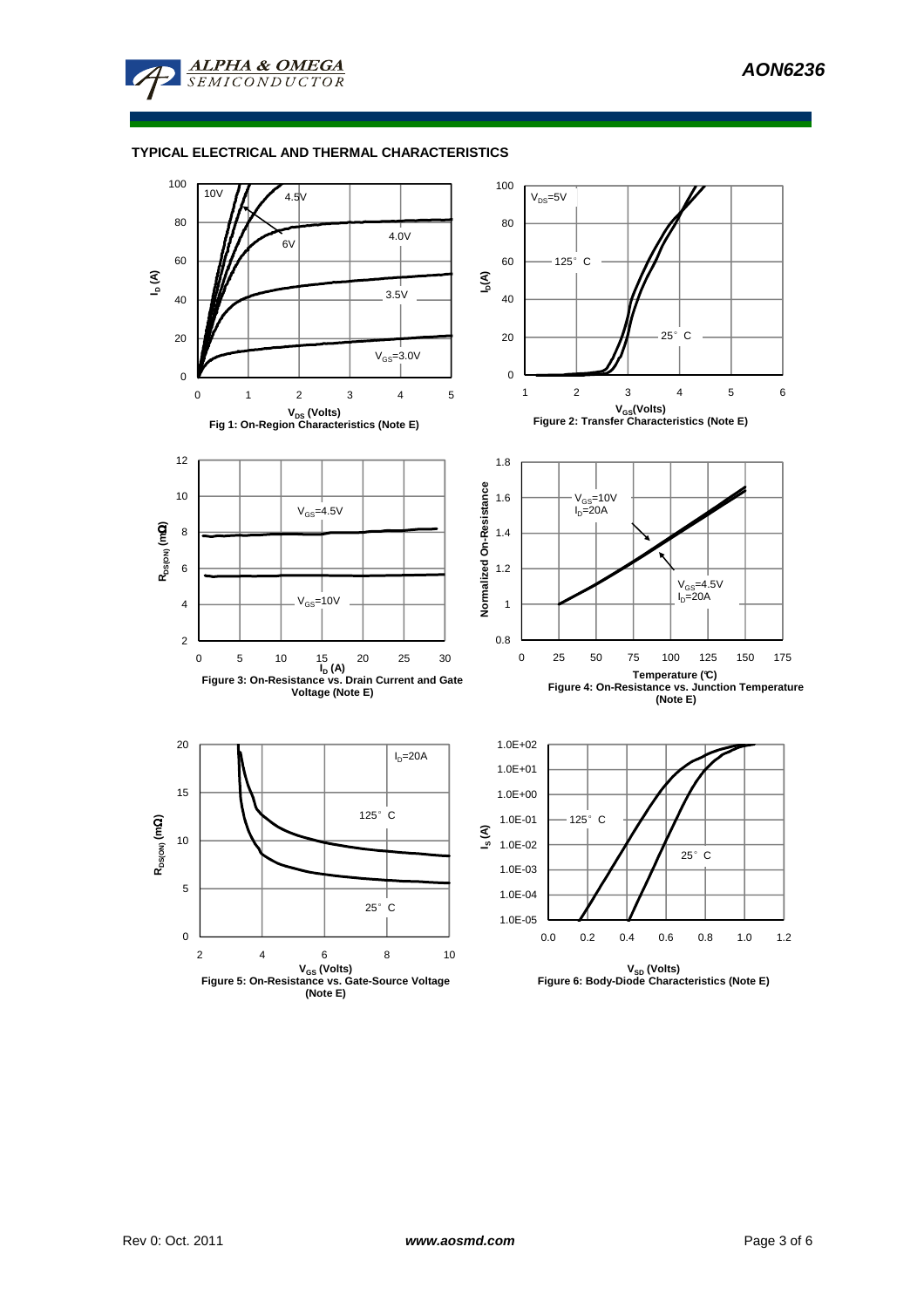

# **TYPICAL ELECTRICAL AND THERMAL CHARACTERISTICS**

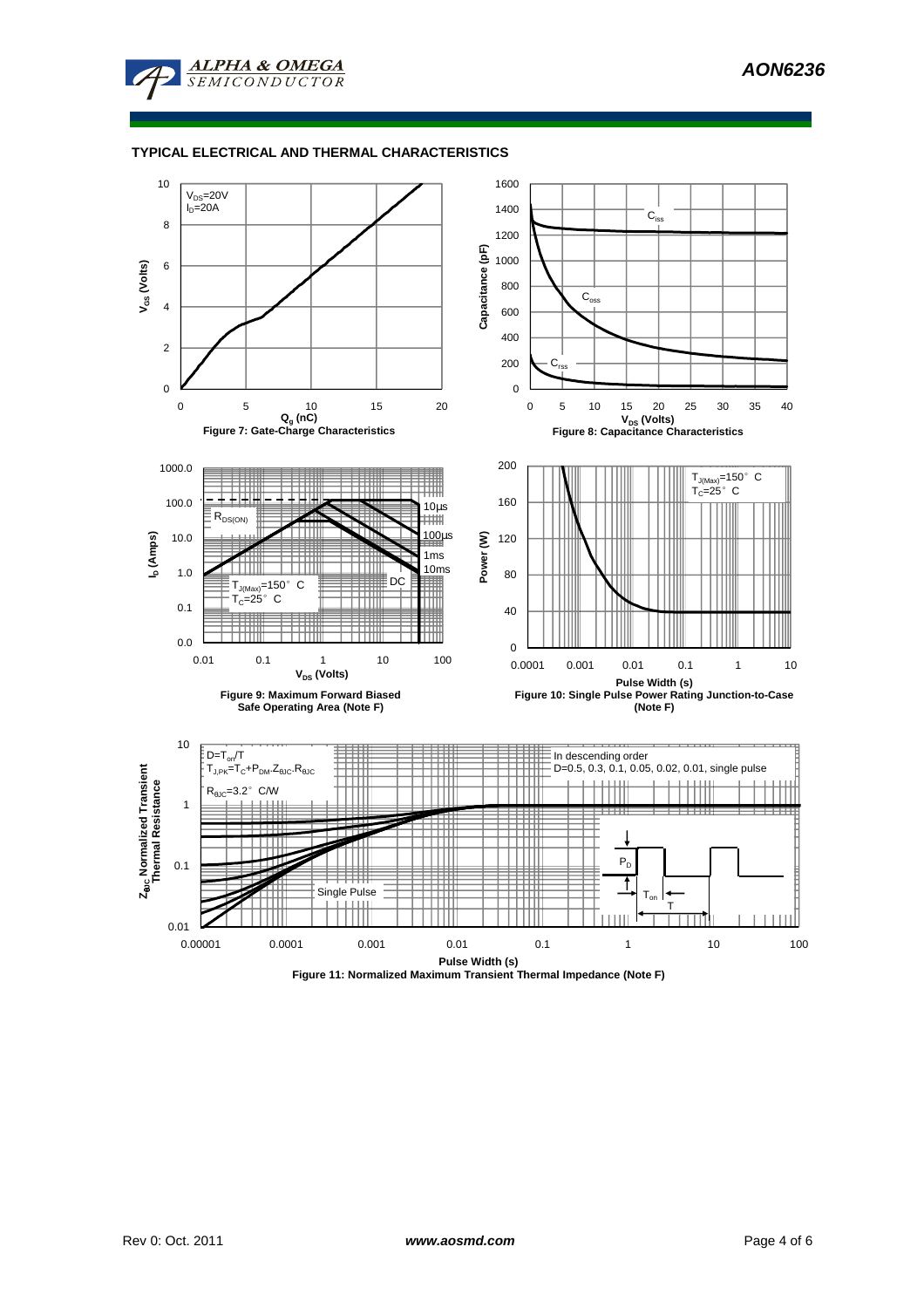

# **TYPICAL ELECTRICAL AND THERMAL CHARACTERISTICS**



**Figure 11: Normalized Maximum Transient Thermal Impedance (Note F)**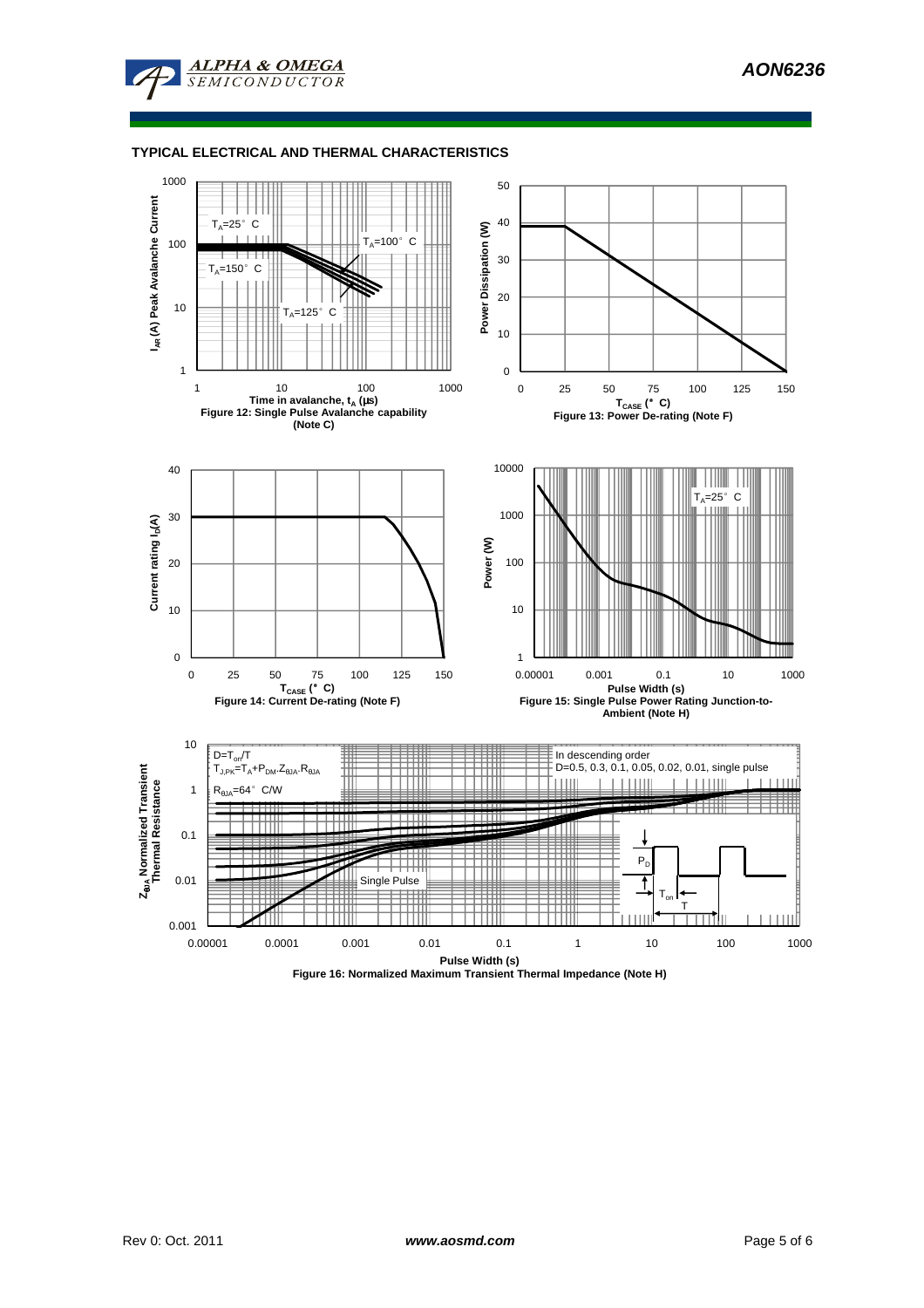

## **TYPICAL ELECTRICAL AND THERMAL CHARACTERISTICS**